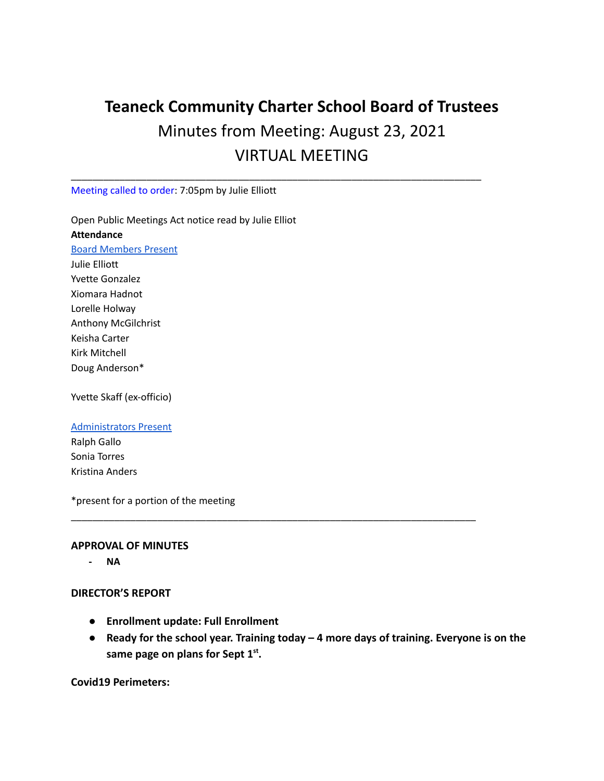## **Teaneck Community Charter School Board of Trustees** Minutes from Meeting: August 23, 2021 VIRTUAL MEETING

\_\_\_\_\_\_\_\_\_\_\_\_\_\_\_\_\_\_\_\_\_\_\_\_\_\_\_\_\_\_\_\_\_\_\_\_\_\_\_\_\_\_\_\_\_\_\_\_\_\_\_\_\_\_\_\_\_\_\_\_\_\_\_\_\_\_\_\_\_\_\_\_\_\_\_\_

Meeting called to order: 7:05pm by Julie Elliott

Open Public Meetings Act notice read by Julie Elliot **Attendance** Board Members Present Julie Elliott Yvette Gonzalez Xiomara Hadnot Lorelle Holway Anthony McGilchrist Keisha Carter Kirk Mitchell

Doug Anderson\*

Yvette Skaff (ex-officio)

## Administrators Present

Ralph Gallo Sonia Torres Kristina Anders

\*present for a portion of the meeting

## **APPROVAL OF MINUTES**

**- NA**

## **DIRECTOR'S REPORT**

- **● Enrollment update: Full Enrollment**
- **● Ready for the school year. Training today 4 more days of training. Everyone is on the same page on plans for Sept 1st .**

\_\_\_\_\_\_\_\_\_\_\_\_\_\_\_\_\_\_\_\_\_\_\_\_\_\_\_\_\_\_\_\_\_\_\_\_\_\_\_\_\_\_\_\_\_\_\_\_\_\_\_\_\_\_\_\_\_\_\_\_\_\_\_\_\_\_\_\_\_\_\_\_\_\_\_

**Covid19 Perimeters:**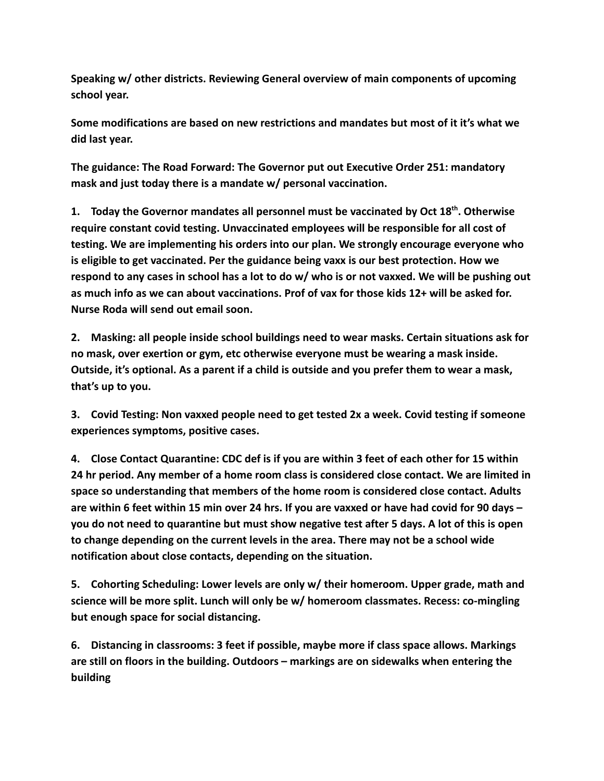**Speaking w/ other districts. Reviewing General overview of main components of upcoming school year.**

**Some modifications are based on new restrictions and mandates but most of it it's what we did last year.**

**The guidance: The Road Forward: The Governor put out Executive Order 251: mandatory mask and just today there is a mandate w/ personal vaccination.**

**1. Today the Governor mandates all personnel must be vaccinated by Oct 18th . Otherwise require constant covid testing. Unvaccinated employees will be responsible for all cost of testing. We are implementing his orders into our plan. We strongly encourage everyone who is eligible to get vaccinated. Per the guidance being vaxx is our best protection. How we respond to any cases in school has a lot to do w/ who is or not vaxxed. We will be pushing out as much info as we can about vaccinations. Prof of vax for those kids 12+ will be asked for. Nurse Roda will send out email soon.**

**2. Masking: all people inside school buildings need to wear masks. Certain situations ask for no mask, over exertion or gym, etc otherwise everyone must be wearing a mask inside. Outside, it's optional. As a parent if a child is outside and you prefer them to wear a mask, that's up to you.**

**3. Covid Testing: Non vaxxed people need to get tested 2x a week. Covid testing if someone experiences symptoms, positive cases.**

**4. Close Contact Quarantine: CDC def is if you are within 3 feet of each other for 15 within 24 hr period. Any member of a home room class is considered close contact. We are limited in space so understanding that members of the home room is considered close contact. Adults are within 6 feet within 15 min over 24 hrs. If you are vaxxed or have had covid for 90 days – you do not need to quarantine but must show negative test after 5 days. A lot of this is open to change depending on the current levels in the area. There may not be a school wide notification about close contacts, depending on the situation.**

**5. Cohorting Scheduling: Lower levels are only w/ their homeroom. Upper grade, math and science will be more split. Lunch will only be w/ homeroom classmates. Recess: co-mingling but enough space for social distancing.**

**6. Distancing in classrooms: 3 feet if possible, maybe more if class space allows. Markings are still on floors in the building. Outdoors – markings are on sidewalks when entering the building**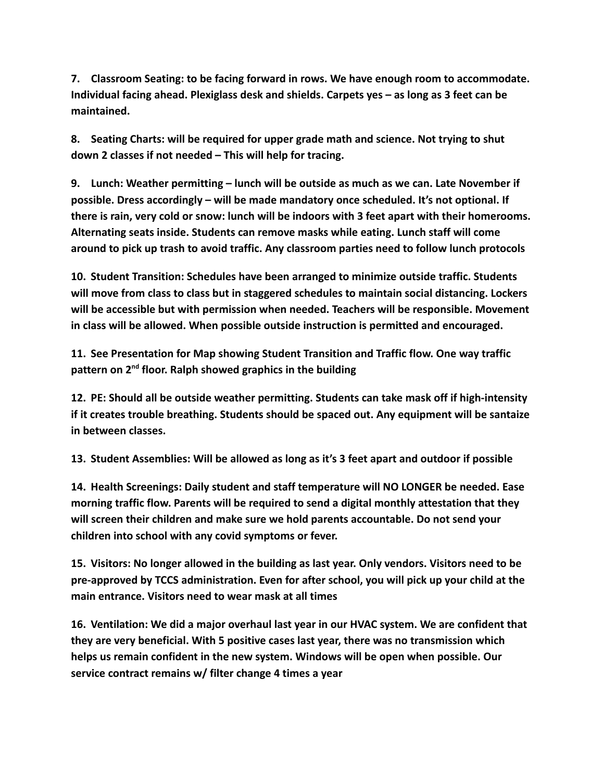**7. Classroom Seating: to be facing forward in rows. We have enough room to accommodate. Individual facing ahead. Plexiglass desk and shields. Carpets yes – as long as 3 feet can be maintained.**

**8. Seating Charts: will be required for upper grade math and science. Not trying to shut down 2 classes if not needed – This will help for tracing.**

**9. Lunch: Weather permitting – lunch will be outside as much as we can. Late November if possible. Dress accordingly – will be made mandatory once scheduled. It's not optional. If there is rain, very cold or snow: lunch will be indoors with 3 feet apart with their homerooms. Alternating seats inside. Students can remove masks while eating. Lunch staff will come around to pick up trash to avoid traffic. Any classroom parties need to follow lunch protocols**

**10. Student Transition: Schedules have been arranged to minimize outside traffic. Students will move from class to class but in staggered schedules to maintain social distancing. Lockers will be accessible but with permission when needed. Teachers will be responsible. Movement in class will be allowed. When possible outside instruction is permitted and encouraged.**

**11. See Presentation for Map showing Student Transition and Traffic flow. One way traffic pattern on 2nd floor. Ralph showed graphics in the building**

**12. PE: Should all be outside weather permitting. Students can take mask off if high-intensity if it creates trouble breathing. Students should be spaced out. Any equipment will be santaize in between classes.**

**13. Student Assemblies: Will be allowed as long as it's 3 feet apart and outdoor if possible**

**14. Health Screenings: Daily student and staff temperature will NO LONGER be needed. Ease morning traffic flow. Parents will be required to send a digital monthly attestation that they will screen their children and make sure we hold parents accountable. Do not send your children into school with any covid symptoms or fever.**

**15. Visitors: No longer allowed in the building as last year. Only vendors. Visitors need to be pre-approved by TCCS administration. Even for after school, you will pick up your child at the main entrance. Visitors need to wear mask at all times**

**16. Ventilation: We did a major overhaul last year in our HVAC system. We are confident that they are very beneficial. With 5 positive cases last year, there was no transmission which helps us remain confident in the new system. Windows will be open when possible. Our service contract remains w/ filter change 4 times a year**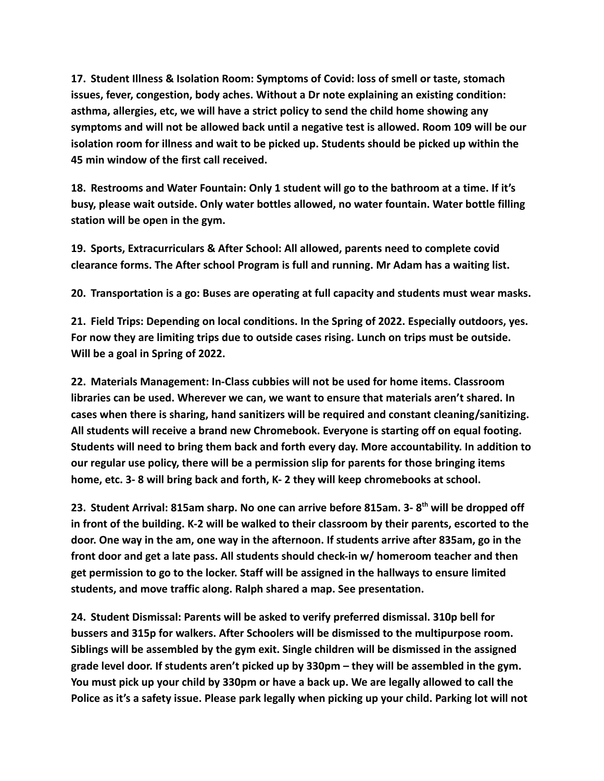**17. Student Illness & Isolation Room: Symptoms of Covid: loss of smell or taste, stomach issues, fever, congestion, body aches. Without a Dr note explaining an existing condition: asthma, allergies, etc, we will have a strict policy to send the child home showing any symptoms and will not be allowed back until a negative test is allowed. Room 109 will be our isolation room for illness and wait to be picked up. Students should be picked up within the 45 min window of the first call received.**

**18. Restrooms and Water Fountain: Only 1 student will go to the bathroom at a time. If it's busy, please wait outside. Only water bottles allowed, no water fountain. Water bottle filling station will be open in the gym.**

**19. Sports, Extracurriculars & After School: All allowed, parents need to complete covid clearance forms. The After school Program is full and running. Mr Adam has a waiting list.**

**20. Transportation is a go: Buses are operating at full capacity and students must wear masks.**

**21. Field Trips: Depending on local conditions. In the Spring of 2022. Especially outdoors, yes. For now they are limiting trips due to outside cases rising. Lunch on trips must be outside. Will be a goal in Spring of 2022.**

**22. Materials Management: In-Class cubbies will not be used for home items. Classroom libraries can be used. Wherever we can, we want to ensure that materials aren't shared. In cases when there is sharing, hand sanitizers will be required and constant cleaning/sanitizing. All students will receive a brand new Chromebook. Everyone is starting off on equal footing. Students will need to bring them back and forth every day. More accountability. In addition to our regular use policy, there will be a permission slip for parents for those bringing items home, etc. 3- 8 will bring back and forth, K- 2 they will keep chromebooks at school.**

**23. Student Arrival: 815am sharp. No one can arrive before 815am. 3- 8th will be dropped off in front of the building. K-2 will be walked to their classroom by their parents, escorted to the door. One way in the am, one way in the afternoon. If students arrive after 835am, go in the front door and get a late pass. All students should check-in w/ homeroom teacher and then get permission to go to the locker. Staff will be assigned in the hallways to ensure limited students, and move traffic along. Ralph shared a map. See presentation.**

**24. Student Dismissal: Parents will be asked to verify preferred dismissal. 310p bell for bussers and 315p for walkers. After Schoolers will be dismissed to the multipurpose room. Siblings will be assembled by the gym exit. Single children will be dismissed in the assigned grade level door. If students aren't picked up by 330pm – they will be assembled in the gym. You must pick up your child by 330pm or have a back up. We are legally allowed to call the Police as it's a safety issue. Please park legally when picking up your child. Parking lot will not**